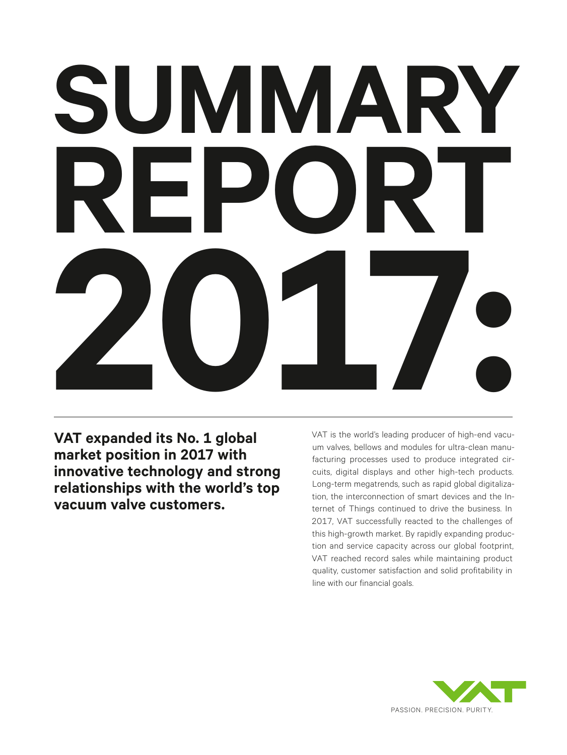# **SUMMARY REPORT 2017:**

**VAT expanded its No. 1 global market position in 2017 with innovative technology and strong relationships with the world's top vacuum valve customers.**

VAT is the world's leading producer of high-end vacuum valves, bellows and modules for ultra-clean manufacturing processes used to produce integrated circuits, digital displays and other high-tech products. Long-term megatrends, such as rapid global digitalization, the interconnection of smart devices and the Internet of Things continued to drive the business. In 2017, VAT successfully reacted to the challenges of this high-growth market. By rapidly expanding production and service capacity across our global footprint, VAT reached record sales while maintaining product quality, customer satisfaction and solid profitability in line with our financial goals.

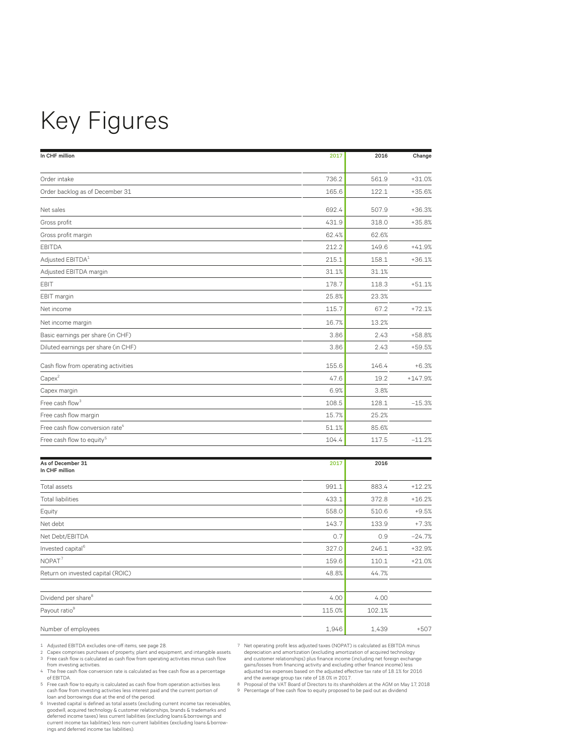# Key Figures

| In CHF million                              | 2017  | 2016  | Change    |
|---------------------------------------------|-------|-------|-----------|
|                                             |       |       |           |
| Order intake                                | 736.2 | 561.9 | $+31.0%$  |
| Order backlog as of December 31             | 165.6 | 122.1 | $+35.6%$  |
| Net sales                                   | 692.4 | 507.9 | $+36.3%$  |
| Gross profit                                | 431.9 | 318.0 | $+35.8%$  |
| Gross profit margin                         | 62.4% | 62.6% |           |
| <b>EBITDA</b>                               | 212.2 | 149.6 | $+41.9%$  |
| Adjusted EBITDA <sup>1</sup>                | 215.1 | 158.1 | $+36.1%$  |
| Adjusted EBITDA margin                      | 31.1% | 31.1% |           |
| EBIT                                        | 178.7 | 118.3 | $+51.1%$  |
| EBIT margin                                 | 25.8% | 23.3% |           |
| Net income                                  | 115.7 | 67.2  | $+72.1%$  |
| Net income margin                           | 16.7% | 13.2% |           |
| Basic earnings per share (in CHF)           | 3.86  | 2.43  | $+58.8%$  |
| Diluted earnings per share (in CHF)         | 3.86  | 2.43  | $+59.5%$  |
| Cash flow from operating activities         | 155.6 | 146.4 | $+6.3%$   |
| $Capex^2$                                   | 47.6  | 19.2  | $+147.9%$ |
| Capex margin                                | 6.9%  | 3.8%  |           |
| Free cash flow <sup>3</sup>                 | 108.5 | 128.1 | $-15.3%$  |
| Free cash flow margin                       | 15.7% | 25.2% |           |
| Free cash flow conversion rate <sup>4</sup> | 51.1% | 85.6% |           |
| Free cash flow to equity <sup>5</sup>       | 104.4 | 117.5 | $-11.2%$  |

| As of December 31<br>In CHF million | 2017   | 2016   |          |
|-------------------------------------|--------|--------|----------|
| <b>Total assets</b>                 | 991.1  | 883.4  | $+12.2%$ |
| <b>Total liabilities</b>            | 433.1  | 372.8  | $+16.2%$ |
| Equity                              | 558.0  | 510.6  | $+9.5%$  |
| Net debt                            | 143.7  | 133.9  | $+7.3%$  |
| Net Debt/EBITDA                     | 0.7    | 0.9    | $-24.7%$ |
| Invested capital <sup>6</sup>       | 327.0  | 246.1  | $+32.9%$ |
| NOPAT <sup>7</sup>                  | 159.6  | 110.1  | $+21.0%$ |
| Return on invested capital (ROIC)   | 48.8%  | 44.7%  |          |
| Dividend per share <sup>8</sup>     | 4.00   | 4.00   |          |
| Payout ratio <sup>9</sup>           | 115.0% | 102.1% |          |
| Number of employees                 | 1,946  | 1,439  | $+507$   |

- 1 Adjusted EBITDA excludes one-off items, see page 28. 2 Capex comprises purchases of property, plant and equipment, and intangible assets. 3 Free cash flow is calculated as cash flow from operating activities minus cash flow from investing activities.
- 4 The free cash flow conversion rate is calculated as free cash flow as a percentage of EBITDA.
- 5 Free cash flow to equity is calculated as cash flow from operation activities less cash flow from investing activities less interest paid and the current portion of loan and borrowings due at the end of the period.
- 6 Invested capital is defined as total assets (excluding current income tax receivables, goodwill, acquired technology & customer relationships, brands & trademarks and deferred income taxes) less current liabilities (excluding loans & borrowings and current income tax liabilities) less non-current liabilities (excluding loans & borrowings and deferred income tax liabilities).

7 Net operating profit less adjusted taxes (NOPAT) is calculated as EBITDA minus depreciation and amortization (excluding amortization of acquired technology and customer relationships) plus finance income (including net foreign exchange gains/losses from financing activity and excluding other finance income) less adjusted tax expenses based on the adjusted effective tax rate of  $18.1\%$  for 2016<br>and the average group tax rate of  $18.0\%$  in  $2017$ .<br>B Proposal of the VAT Board of Directors to its shareholders at the AGM on May 17,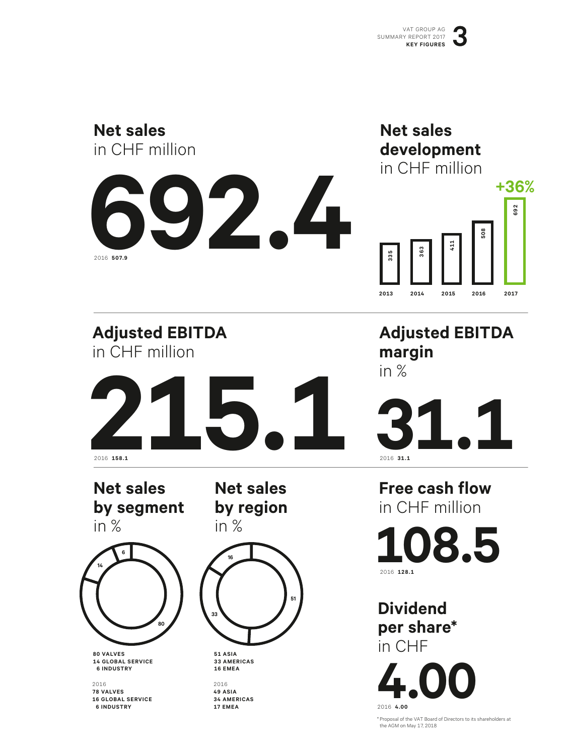

\* Proposal of the VAT Board of Directors to its shareholders at the AGM on May 17, 2018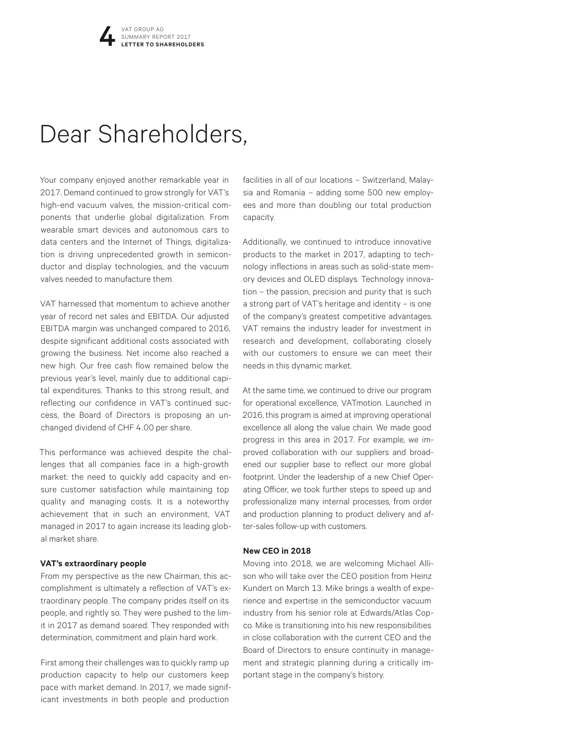## Dear Shareholders,

Your company enjoyed another remarkable year in 2017. Demand continued to grow strongly for VAT's high-end vacuum valves, the mission-critical components that underlie global digitalization. From wearable smart devices and autonomous cars to data centers and the Internet of Things, digitalization is driving unprecedented growth in semiconductor and display technologies, and the vacuum valves needed to manufacture them.

VAT harnessed that momentum to achieve another year of record net sales and EBITDA. Our adjusted EBITDA margin was unchanged compared to 2016, despite significant additional costs associated with growing the business. Net income also reached a new high. Our free cash flow remained below the previous year's level, mainly due to additional capital expenditures. Thanks to this strong result, and reflecting our confidence in VAT's continued success, the Board of Directors is proposing an unchanged dividend of CHF 4.00 per share.

This performance was achieved despite the challenges that all companies face in a high-growth market: the need to quickly add capacity and ensure customer satisfaction while maintaining top quality and managing costs. It is a noteworthy achievement that in such an environment, VAT managed in 2017 to again increase its leading global market share.

#### **VAT's extraordinary people**

From my perspective as the new Chairman, this accomplishment is ultimately a reflection of VAT's extraordinary people. The company prides itself on its people, and rightly so. They were pushed to the limit in 2017 as demand soared. They responded with determination, commitment and plain hard work.

First among their challenges was to quickly ramp up production capacity to help our customers keep pace with market demand. In 2017, we made significant investments in both people and production

facilities in all of our locations – Switzerland, Malaysia and Romania – adding some 500 new employees and more than doubling our total production capacity.

Additionally, we continued to introduce innovative products to the market in 2017, adapting to technology inflections in areas such as solid-state memory devices and OLED displays. Technology innovation – the passion, precision and purity that is such a strong part of VAT's heritage and identity – is one of the company's greatest competitive advantages. VAT remains the industry leader for investment in research and development, collaborating closely with our customers to ensure we can meet their needs in this dynamic market.

At the same time, we continued to drive our program for operational excellence, VATmotion. Launched in 2016, this program is aimed at improving operational excellence all along the value chain. We made good progress in this area in 2017. For example, we improved collaboration with our suppliers and broadened our supplier base to reflect our more global footprint. Under the leadership of a new Chief Operating Officer, we took further steps to speed up and professionalize many internal processes, from order and production planning to product delivery and after-sales follow-up with customers.

#### **New CEO in 2018**

Moving into 2018, we are welcoming Michael Allison who will take over the CEO position from Heinz Kundert on March 13. Mike brings a wealth of experience and expertise in the semiconductor vacuum industry from his senior role at Edwards/Atlas Copco. Mike is transitioning into his new responsibilities in close collaboration with the current CEO and the Board of Directors to ensure continuity in management and strategic planning during a critically important stage in the company's history.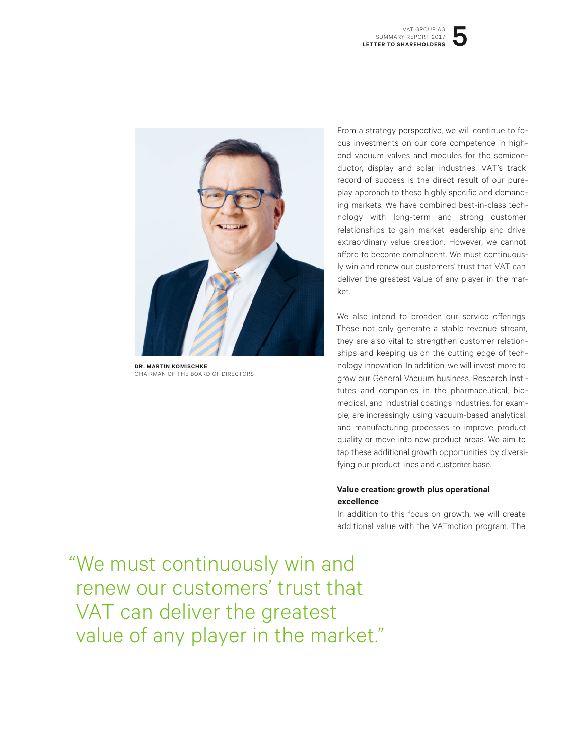

**DR. MARTIN KOMISCHKE** CHAIRMAN OF THE BOARD OF DIRECTORS

From a strategy perspective, we will continue to focus investments on our core competence in highend vacuum valves and modules for the semiconductor, display and solar industries. VAT's track record of success is the direct result of our pureplay approach to these highly specific and demanding markets. We have combined best-in-class technology with long-term and strong customer relationships to gain market leadership and drive extraordinary value creation. However, we cannot afford to become complacent. We must continuously win and renew our customers' trust that VAT can deliver the greatest value of any player in the market.

We also intend to broaden our service offerings. These not only generate a stable revenue stream, they are also vital to strengthen customer relationships and keeping us on the cutting edge of technology innovation. In addition, we will invest more to grow our General Vacuum business. Research institutes and companies in the pharmaceutical, biomedical, and industrial coatings industries, for example, are increasingly using vacuum-based analytical and manufacturing processes to improve product quality or move into new product areas. We aim to tap these additional growth opportunities by diversifying our product lines and customer base.

#### **Value creation: growth plus operational excellence**

In addition to this focus on growth, we will create additional value with the VATmotion program. The

 "We must continuously win and renew our customers' trust that VAT can deliver the greatest value of any player in the market."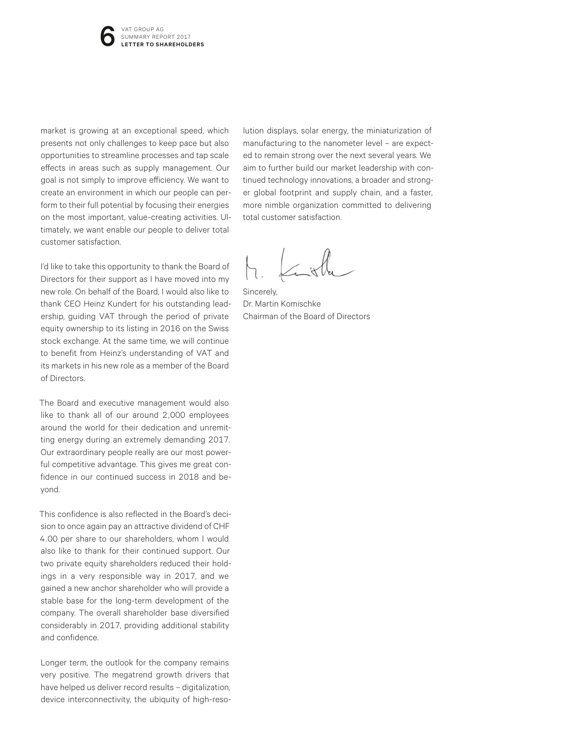market is growing at an exceptional speed, which presents not only challenges to keep pace but also opportunities to streamline processes and tap scale effects in areas such as supply management. Our goal is not simply to improve efficiency. We want to create an environment in which our people can perform to their full potential by focusing their energies on the most important, value-creating activities. Ultimately, we want enable our people to deliver total customer satisfaction.

I'd like to take this opportunity to thank the Board of Directors for their support as I have moved into my new role. On behalf of the Board, I would also like to thank CEO Heinz Kundert for his outstanding leadership, guiding VAT through the period of private equity ownership to its listing in 2016 on the Swiss stock exchange. At the same time, we will continue to benefit from Heinz's understanding of VAT and its markets in his new role as a member of the Board of Directors.

The Board and executive management would also like to thank all of our around 2,000 employees around the world for their dedication and unremitting energy during an extremely demanding 2017. Our extraordinary people really are our most powerful competitive advantage. This gives me great confidence in our continued success in 2018 and beyond.

This confidence is also reflected in the Board's decision to once again pay an attractive dividend of CHF 4.00 per share to our shareholders, whom I would also like to thank for their continued support. Our two private equity shareholders reduced their holdings in a very responsible way in 2017, and we gained a new anchor shareholder who will provide a stable base for the long-term development of the company. The overall shareholder base diversified considerably in 2017, providing additional stability and confidence.

Longer term, the outlook for the company remains very positive. The megatrend growth drivers that have helped us deliver record results - digitalization, device interconnectivity, the ubiquity of high-reso-

lution displays, solar energy, the miniaturization of manufacturing to the nanometer level – are expected to remain strong over the next several years. We aim to further build our market leadership with continued technology innovations, a broader and stronger global footprint and supply chain, and a faster, more nimble organization committed to delivering total customer satisfaction.

Sincerely, Dr. Martin Komischke Chairman of the Board of Directors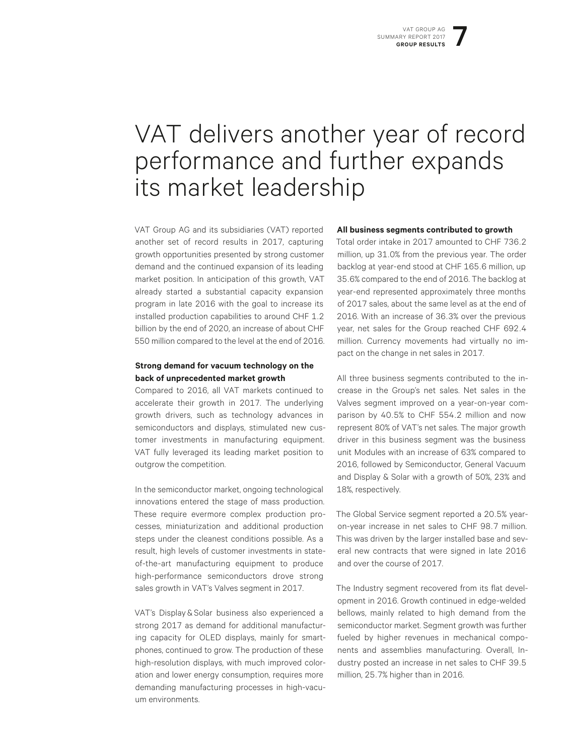## VAT delivers another year of record performance and further expands its market leadership

VAT Group AG and its subsidiaries (VAT) reported another set of record results in 2017, capturing growth opportunities presented by strong customer demand and the continued expansion of its leading market position. In anticipation of this growth, VAT already started a substantial capacity expansion program in late 2016 with the goal to increase its installed production capabilities to around CHF 1.2 billion by the end of 2020, an increase of about CHF 550 million compared to the level at the end of 2016.

#### **Strong demand for vacuum technology on the back of unprecedented market growth**

Compared to 2016, all VAT markets continued to accelerate their growth in 2017. The underlying growth drivers, such as technology advances in semiconductors and displays, stimulated new customer investments in manufacturing equipment. VAT fully leveraged its leading market position to outgrow the competition.

In the semiconductor market, ongoing technological innovations entered the stage of mass production. These require evermore complex production processes, miniaturization and additional production steps under the cleanest conditions possible. As a result, high levels of customer investments in stateof-the-art manufacturing equipment to produce high-performance semiconductors drove strong sales growth in VAT's Valves segment in 2017.

VAT's Display & Solar business also experienced a strong 2017 as demand for additional manufacturing capacity for OLED displays, mainly for smartphones, continued to grow. The production of these high-resolution displays, with much improved coloration and lower energy consumption, requires more demanding manufacturing processes in high-vacuum environments.

#### **All business segments contributed to growth**

Total order intake in 2017 amounted to CHF 736.2 million, up 31.0% from the previous year. The order backlog at year-end stood at CHF 165.6 million, up 35.6% compared to the end of 2016. The backlog at year-end represented approximately three months of 2017 sales, about the same level as at the end of 2016. With an increase of 36.3% over the previous year, net sales for the Group reached CHF 692.4 million. Currency movements had virtually no impact on the change in net sales in 2017.

All three business segments contributed to the increase in the Group's net sales. Net sales in the Valves segment improved on a year-on-year comparison by 40.5% to CHF 554.2 million and now represent 80% of VAT's net sales. The major growth driver in this business segment was the business unit Modules with an increase of 63% compared to 2016, followed by Semiconductor, General Vacuum and Display & Solar with a growth of 50%, 23% and 18%, respectively.

The Global Service segment reported a 20.5% yearon-year increase in net sales to CHF 98.7 million. This was driven by the larger installed base and several new contracts that were signed in late 2016 and over the course of 2017.

The Industry segment recovered from its flat development in 2016. Growth continued in edge-welded bellows, mainly related to high demand from the semiconductor market. Segment growth was further fueled by higher revenues in mechanical components and assemblies manufacturing. Overall, Industry posted an increase in net sales to CHF 39.5 million, 25.7% higher than in 2016.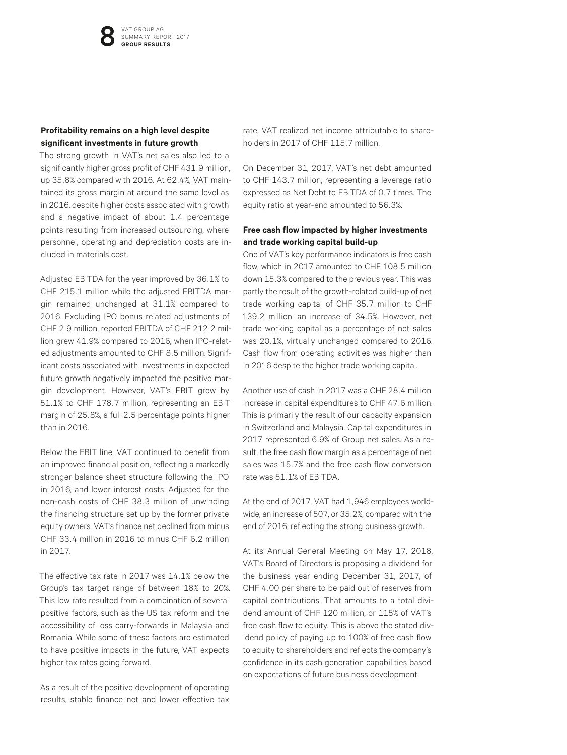#### **Profitability remains on a high level despite significant investments in future growth**

The strong growth in VAT's net sales also led to a significantly higher gross profit of CHF 431.9 million, up 35.8% compared with 2016. At 62.4%, VAT maintained its gross margin at around the same level as in 2016, despite higher costs associated with growth and a negative impact of about 1.4 percentage points resulting from increased outsourcing, where personnel, operating and depreciation costs are included in materials cost.

Adjusted EBITDA for the year improved by 36.1% to CHF 215.1 million while the adjusted EBITDA margin remained unchanged at 31.1% compared to 2016. Excluding IPO bonus related adjustments of CHF 2.9 million, reported EBITDA of CHF 212.2 million grew 41.9% compared to 2016, when IPO-related adjustments amounted to CHF 8.5 million. Significant costs associated with investments in expected future growth negatively impacted the positive margin development. However, VAT's EBIT grew by 51.1% to CHF 178.7 million, representing an EBIT margin of 25.8%, a full 2.5 percentage points higher than in 2016.

Below the EBIT line, VAT continued to benefit from an improved financial position, reflecting a markedly stronger balance sheet structure following the IPO in 2016, and lower interest costs. Adjusted for the non-cash costs of CHF 38.3 million of unwinding the financing structure set up by the former private equity owners, VAT's finance net declined from minus CHF 33.4 million in 2016 to minus CHF 6.2 million in 2017.

The effective tax rate in 2017 was 14.1% below the Group's tax target range of between 18% to 20%. This low rate resulted from a combination of several positive factors, such as the US tax reform and the accessibility of loss carry-forwards in Malaysia and Romania. While some of these factors are estimated to have positive impacts in the future, VAT expects higher tax rates going forward.

As a result of the positive development of operating results, stable finance net and lower effective tax

rate, VAT realized net income attributable to shareholders in 2017 of CHF 115.7 million.

On December 31, 2017, VAT's net debt amounted to CHF 143.7 million, representing a leverage ratio expressed as Net Debt to EBITDA of 0.7 times. The equity ratio at year-end amounted to 56.3%.

#### **Free cash flow impacted by higher investments and trade working capital build-up**

One of VAT's key performance indicators is free cash flow, which in 2017 amounted to CHF 108.5 million. down 15.3% compared to the previous year. This was partly the result of the growth-related build-up of net trade working capital of CHF 35.7 million to CHF 139.2 million, an increase of 34.5%. However, net trade working capital as a percentage of net sales was 20.1%, virtually unchanged compared to 2016. Cash flow from operating activities was higher than in 2016 despite the higher trade working capital.

Another use of cash in 2017 was a CHF 28.4 million increase in capital expenditures to CHF 47.6 million. This is primarily the result of our capacity expansion in Switzerland and Malaysia. Capital expenditures in 2017 represented 6.9% of Group net sales. As a result, the free cash flow margin as a percentage of net sales was 15.7% and the free cash flow conversion rate was 51.1% of EBITDA.

At the end of 2017, VAT had 1,946 employees worldwide, an increase of 507, or 35.2%, compared with the end of 2016, reflecting the strong business growth.

At its Annual General Meeting on May 17, 2018, VAT's Board of Directors is proposing a dividend for the business year ending December 31, 2017, of CHF 4.00 per share to be paid out of reserves from capital contributions. That amounts to a total dividend amount of CHF 120 million, or 115% of VAT's free cash flow to equity. This is above the stated dividend policy of paying up to 100% of free cash flow to equity to shareholders and reflects the company's confidence in its cash generation capabilities based on expectations of future business development.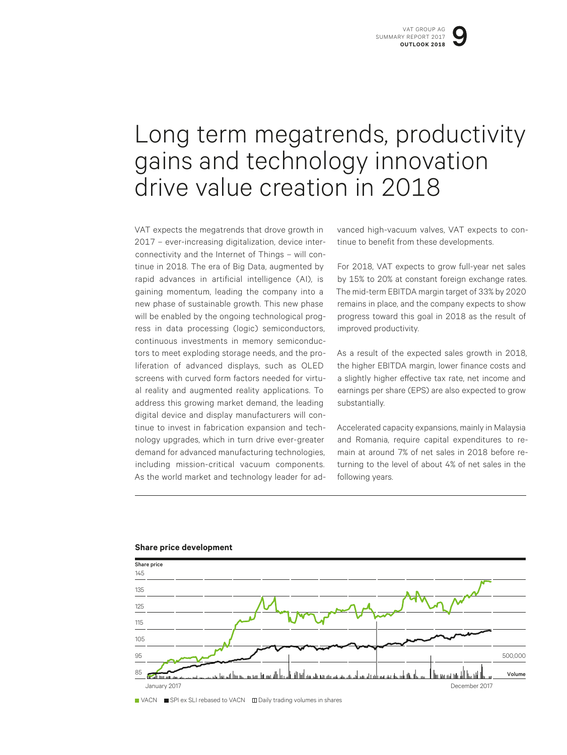## Long term megatrends, productivity gains and technology innovation drive value creation in 2018

VAT expects the megatrends that drove growth in 2017 – ever-increasing digitalization, device interconnectivity and the Internet of Things – will continue in 2018. The era of Big Data, augmented by rapid advances in artificial intelligence (AI), is gaining momentum, leading the company into a new phase of sustainable growth. This new phase will be enabled by the ongoing technological progress in data processing (logic) semiconductors, continuous investments in memory semiconductors to meet exploding storage needs, and the proliferation of advanced displays, such as OLED screens with curved form factors needed for virtual reality and augmented reality applications. To address this growing market demand, the leading digital device and display manufacturers will continue to invest in fabrication expansion and technology upgrades, which in turn drive ever-greater demand for advanced manufacturing technologies, including mission-critical vacuum components. As the world market and technology leader for advanced high-vacuum valves, VAT expects to continue to benefit from these developments.

For 2018, VAT expects to grow full-year net sales by 15% to 20% at constant foreign exchange rates. The mid-term EBITDA margin target of 33% by 2020 remains in place, and the company expects to show progress toward this goal in 2018 as the result of improved productivity.

As a result of the expected sales growth in 2018, the higher EBITDA margin, lower finance costs and a slightly higher effective tax rate, net income and earnings per share (EPS) are also expected to grow substantially.

Accelerated capacity expansions, mainly in Malaysia and Romania, require capital expenditures to remain at around 7% of net sales in 2018 before returning to the level of about 4% of net sales in the following years.



#### **Share price development**

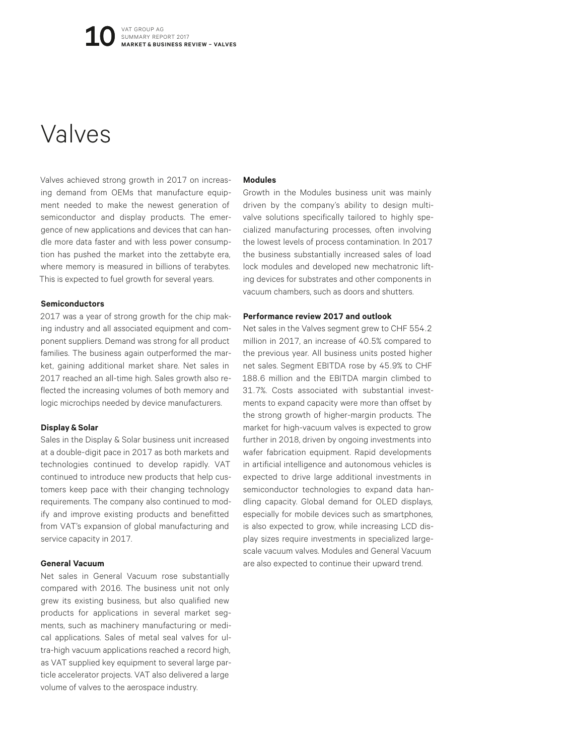## Valves

Valves achieved strong growth in 2017 on increasing demand from OEMs that manufacture equipment needed to make the newest generation of semiconductor and display products. The emergence of new applications and devices that can handle more data faster and with less power consumption has pushed the market into the zettabyte era, where memory is measured in billions of terabytes. This is expected to fuel growth for several years.

#### **Semiconductors**

2017 was a year of strong growth for the chip making industry and all associated equipment and component suppliers. Demand was strong for all product families. The business again outperformed the market, gaining additional market share. Net sales in 2017 reached an all-time high. Sales growth also reflected the increasing volumes of both memory and logic microchips needed by device manufacturers.

#### **Display&Solar**

Sales in the Display & Solar business unit increased at a double-digit pace in 2017 as both markets and technologies continued to develop rapidly. VAT continued to introduce new products that help customers keep pace with their changing technology requirements. The company also continued to modify and improve existing products and benefitted from VAT's expansion of global manufacturing and service capacity in 2017.

#### **General Vacuum**

Net sales in General Vacuum rose substantially compared with 2016. The business unit not only grew its existing business, but also qualified new products for applications in several market segments, such as machinery manufacturing or medical applications. Sales of metal seal valves for ultra-high vacuum applications reached a record high, as VAT supplied key equipment to several large particle accelerator projects. VAT also delivered a large volume of valves to the aerospace industry.

#### **Modules**

Growth in the Modules business unit was mainly driven by the company's ability to design multivalve solutions specifically tailored to highly specialized manufacturing processes, often involving the lowest levels of process contamination. In 2017 the business substantially increased sales of load lock modules and developed new mechatronic lifting devices for substrates and other components in vacuum chambers, such as doors and shutters.

#### **Performance review 2017 and outlook**

Net sales in the Valves segment grew to CHF 554.2 million in 2017, an increase of 40.5% compared to the previous year. All business units posted higher net sales. Segment EBITDA rose by 45.9% to CHF 188.6 million and the EBITDA margin climbed to 31.7%. Costs associated with substantial investments to expand capacity were more than offset by the strong growth of higher-margin products. The market for high-vacuum valves is expected to grow further in 2018, driven by ongoing investments into wafer fabrication equipment. Rapid developments in artificial intelligence and autonomous vehicles is expected to drive large additional investments in semiconductor technologies to expand data handling capacity. Global demand for OLED displays, especially for mobile devices such as smartphones, is also expected to grow, while increasing LCD display sizes require investments in specialized largescale vacuum valves. Modules and General Vacuum are also expected to continue their upward trend.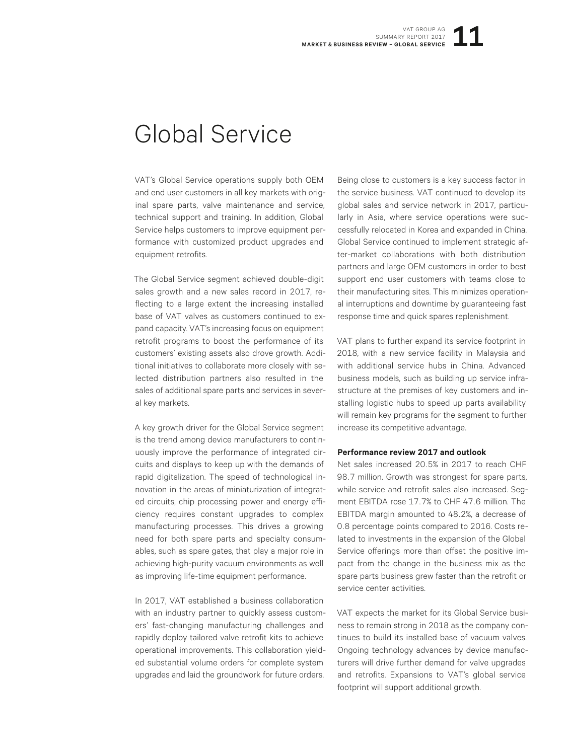## Global Service

VAT's Global Service operations supply both OEM and end user customers in all key markets with original spare parts, valve maintenance and service, technical support and training. In addition, Global Service helps customers to improve equipment performance with customized product upgrades and equipment retrofits.

The Global Service segment achieved double-digit sales growth and a new sales record in 2017, reflecting to a large extent the increasing installed base of VAT valves as customers continued to expand capacity. VAT's increasing focus on equipment retrofit programs to boost the performance of its customers' existing assets also drove growth. Additional initiatives to collaborate more closely with selected distribution partners also resulted in the sales of additional spare parts and services in several key markets.

A key growth driver for the Global Service segment is the trend among device manufacturers to continuously improve the performance of integrated circuits and displays to keep up with the demands of rapid digitalization. The speed of technological innovation in the areas of miniaturization of integrated circuits, chip processing power and energy efficiency requires constant upgrades to complex manufacturing processes. This drives a growing need for both spare parts and specialty consumables, such as spare gates, that play a major role in achieving high-purity vacuum environments as well as improving life-time equipment performance.

In 2017, VAT established a business collaboration with an industry partner to quickly assess customers' fast-changing manufacturing challenges and rapidly deploy tailored valve retrofit kits to achieve operational improvements. This collaboration yielded substantial volume orders for complete system upgrades and laid the groundwork for future orders.

Being close to customers is a key success factor in the service business. VAT continued to develop its global sales and service network in 2017, particularly in Asia, where service operations were successfully relocated in Korea and expanded in China. Global Service continued to implement strategic after-market collaborations with both distribution partners and large OEM customers in order to best support end user customers with teams close to their manufacturing sites. This minimizes operational interruptions and downtime by guaranteeing fast response time and quick spares replenishment.

VAT plans to further expand its service footprint in 2018, with a new service facility in Malaysia and with additional service hubs in China. Advanced business models, such as building up service infrastructure at the premises of key customers and installing logistic hubs to speed up parts availability will remain key programs for the segment to further increase its competitive advantage.

#### **Performance review 2017 and outlook**

Net sales increased 20.5% in 2017 to reach CHF 98.7 million. Growth was strongest for spare parts, while service and retrofit sales also increased. Segment EBITDA rose 17.7% to CHF 47.6 million. The EBITDA margin amounted to 48.2%, a decrease of 0.8 percentage points compared to 2016. Costs related to investments in the expansion of the Global Service offerings more than offset the positive impact from the change in the business mix as the spare parts business grew faster than the retrofit or service center activities.

VAT expects the market for its Global Service business to remain strong in 2018 as the company continues to build its installed base of vacuum valves. Ongoing technology advances by device manufacturers will drive further demand for valve upgrades and retrofits. Expansions to VAT's global service footprint will support additional growth.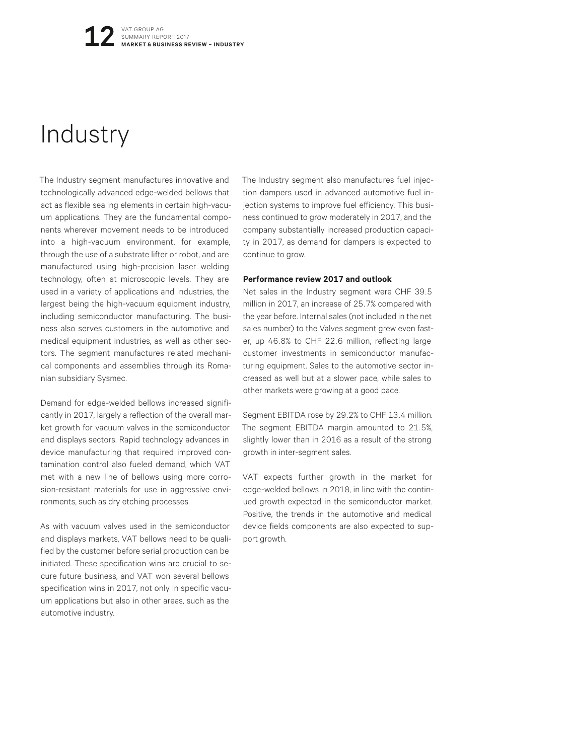## **Industry**

The Industry segment manufactures innovative and technologically advanced edge-welded bellows that act as flexible sealing elements in certain high-vacuum applications. They are the fundamental components wherever movement needs to be introduced into a high-vacuum environment, for example, through the use of a substrate lifter or robot, and are manufactured using high-precision laser welding technology, often at microscopic levels. They are used in a variety of applications and industries, the largest being the high-vacuum equipment industry, including semiconductor manufacturing. The business also serves customers in the automotive and medical equipment industries, as well as other sectors. The segment manufactures related mechanical components and assemblies through its Romanian subsidiary Sysmec.

Demand for edge-welded bellows increased significantly in 2017, largely a reflection of the overall market growth for vacuum valves in the semiconductor and displays sectors. Rapid technology advances in device manufacturing that required improved contamination control also fueled demand, which VAT met with a new line of bellows using more corrosion-resistant materials for use in aggressive environments, such as dry etching processes.

As with vacuum valves used in the semiconductor and displays markets, VAT bellows need to be qualified by the customer before serial production can be initiated. These specification wins are crucial to secure future business, and VAT won several bellows specification wins in 2017, not only in specific vacuum applications but also in other areas, such as the automotive industry.

The Industry segment also manufactures fuel injection dampers used in advanced automotive fuel injection systems to improve fuel efficiency. This business continued to grow moderately in 2017, and the company substantially increased production capacity in 2017, as demand for dampers is expected to continue to grow.

#### **Performance review 2017 and outlook**

Net sales in the Industry segment were CHF 39.5 million in 2017, an increase of 25.7% compared with the year before. Internal sales (not included in the net sales number) to the Valves segment grew even faster, up 46.8% to CHF 22.6 million, reflecting large customer investments in semiconductor manufacturing equipment. Sales to the automotive sector increased as well but at a slower pace, while sales to other markets were growing at a good pace.

Segment EBITDA rose by 29.2% to CHF 13.4 million. The segment EBITDA margin amounted to 21.5%, slightly lower than in 2016 as a result of the strong growth in inter-segment sales.

VAT expects further growth in the market for edge-welded bellows in 2018, in line with the continued growth expected in the semiconductor market. Positive, the trends in the automotive and medical device fields components are also expected to support growth.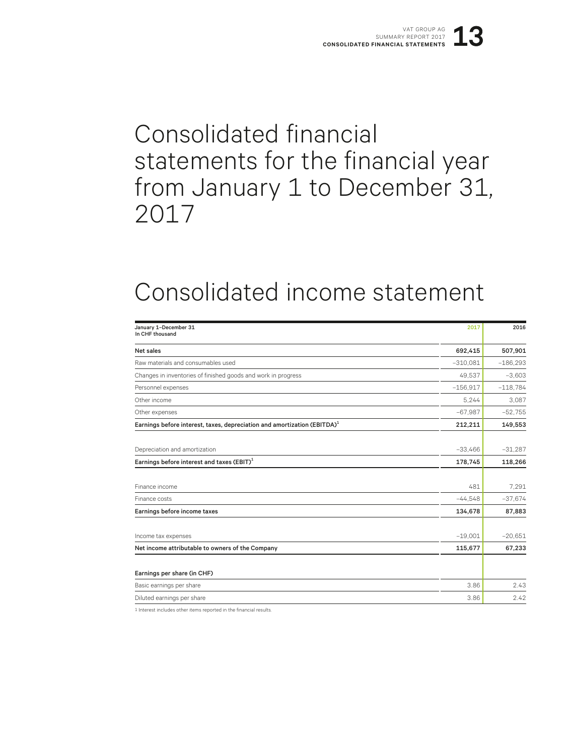## Consolidated financial statements for the financial year from January 1 to December 31, 2017

## Consolidated income statement

| January 1-December 31<br>In CHF thousand                                             | 2017       | 2016       |
|--------------------------------------------------------------------------------------|------------|------------|
| Net sales                                                                            | 692,415    | 507,901    |
| Raw materials and consumables used                                                   | $-310,081$ | $-186,293$ |
| Changes in inventories of finished goods and work in progress                        | 49,537     | $-3,603$   |
| Personnel expenses                                                                   | $-156.917$ | $-118,784$ |
| Other income                                                                         | 5.244      | 3.087      |
| Other expenses                                                                       | $-67,987$  | $-52,755$  |
| Earnings before interest, taxes, depreciation and amortization (EBITDA) <sup>1</sup> | 212,211    | 149,553    |
|                                                                                      |            |            |
| Depreciation and amortization                                                        | $-33,466$  | $-31,287$  |
| Earnings before interest and taxes $(EBIT)^1$                                        | 178,745    | 118,266    |
|                                                                                      |            |            |
| Finance income                                                                       | 481        | 7.291      |
| Finance costs                                                                        | $-44.548$  | $-37,674$  |
| Earnings before income taxes                                                         | 134,678    | 87,883     |
|                                                                                      |            |            |
| Income tax expenses                                                                  | $-19,001$  | $-20,651$  |
| Net income attributable to owners of the Company                                     | 115,677    | 67,233     |
| Earnings per share (in CHF)                                                          |            |            |
| Basic earnings per share                                                             | 3.86       | 2.43       |
| Diluted earnings per share                                                           | 3.86       | 2.42       |
|                                                                                      |            |            |

1 Interest includes other items reported in the financial results.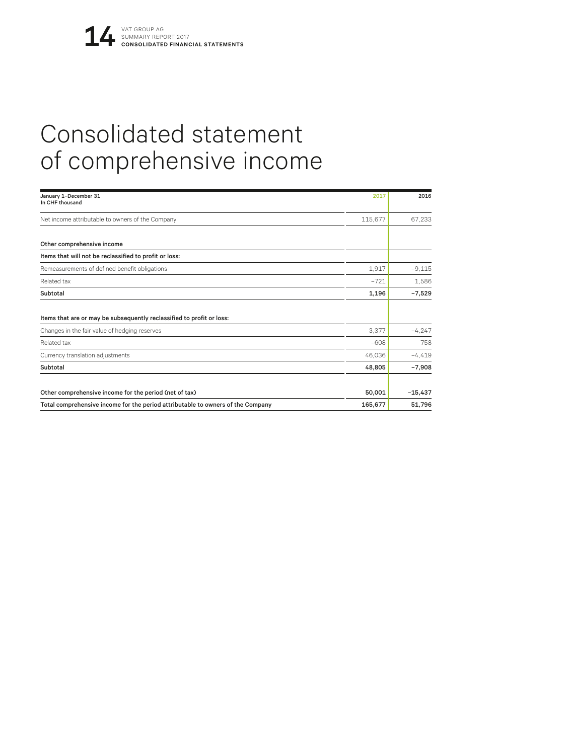# Consolidated statement of comprehensive income

| January 1-December 31<br>In CHF thousand                                        | 2017    | 2016      |
|---------------------------------------------------------------------------------|---------|-----------|
| Net income attributable to owners of the Company                                | 115,677 | 67,233    |
| Other comprehensive income                                                      |         |           |
| Items that will not be reclassified to profit or loss:                          |         |           |
| Remeasurements of defined benefit obligations                                   | 1.917   | $-9.115$  |
| Related tax                                                                     | $-721$  | 1,586     |
| Subtotal                                                                        | 1,196   | $-7,529$  |
| Items that are or may be subsequently reclassified to profit or loss:           |         |           |
| Changes in the fair value of hedging reserves                                   | 3,377   | $-4,247$  |
| Related tax                                                                     | $-608$  | 758       |
| Currency translation adjustments                                                | 46,036  | $-4,419$  |
| Subtotal                                                                        | 48.805  | $-7,908$  |
| Other comprehensive income for the period (net of tax)                          | 50,001  | $-15,437$ |
| Total comprehensive income for the period attributable to owners of the Company | 165,677 | 51,796    |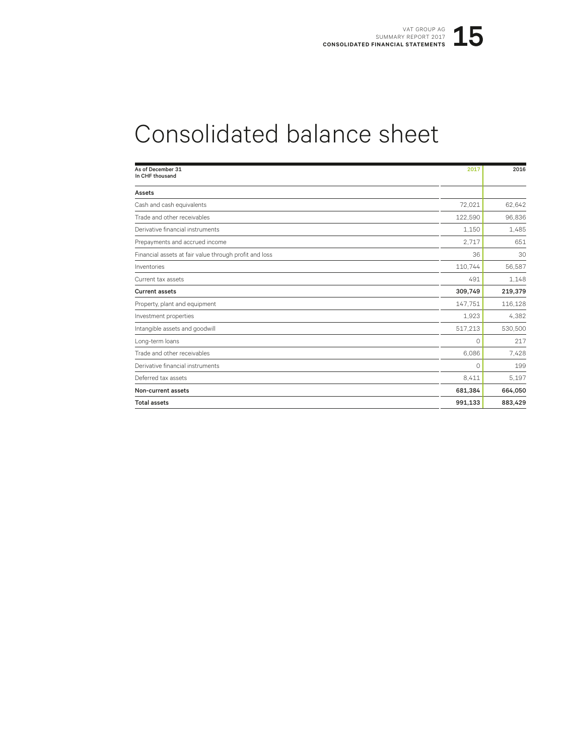# Consolidated balance sheet

| As of December 31<br>In CHF thousand                   | 2017    | 2016    |
|--------------------------------------------------------|---------|---------|
| Assets                                                 |         |         |
| Cash and cash equivalents                              | 72,021  | 62,642  |
| Trade and other receivables                            | 122,590 | 96,836  |
| Derivative financial instruments                       | 1.150   | 1,485   |
| Prepayments and accrued income                         | 2.717   | 651     |
| Financial assets at fair value through profit and loss | 36      | 30      |
| Inventories                                            | 110,744 | 56,587  |
| Current tax assets                                     | 491     | 1,148   |
| <b>Current assets</b>                                  | 309,749 | 219,379 |
| Property, plant and equipment                          | 147.751 | 116,128 |
| Investment properties                                  | 1.923   | 4,382   |
| Intangible assets and goodwill                         | 517,213 | 530,500 |
| Long-term loans                                        | O       | 217     |
| Trade and other receivables                            | 6,086   | 7,428   |
| Derivative financial instruments                       | $\circ$ | 199     |
| Deferred tax assets                                    | 8,411   | 5.197   |
| Non-current assets                                     | 681,384 | 664,050 |
| <b>Total assets</b>                                    | 991,133 | 883,429 |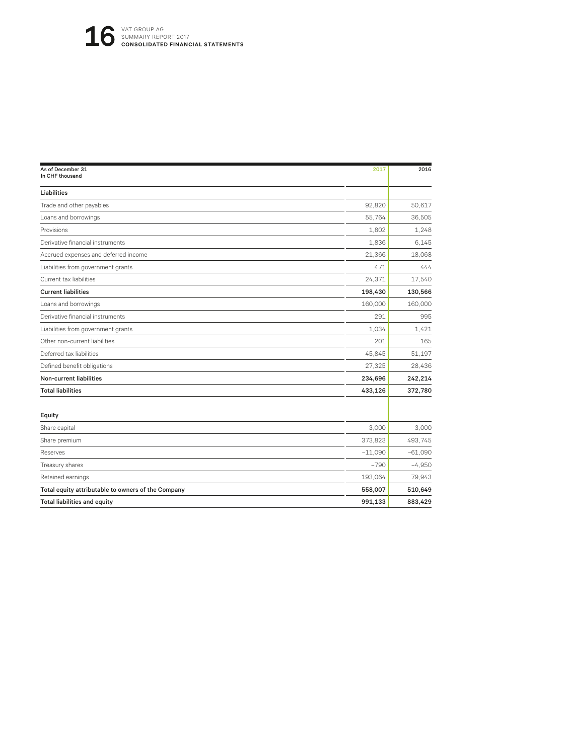| As of December 31<br>In CHF thousand               | 2017      | 2016      |
|----------------------------------------------------|-----------|-----------|
| Liabilities                                        |           |           |
| Trade and other payables                           | 92.820    | 50,617    |
| Loans and borrowings                               | 55,764    | 36,505    |
| Provisions                                         | 1,802     | 1.248     |
| Derivative financial instruments                   | 1.836     | 6.145     |
| Accrued expenses and deferred income               | 21.366    | 18.068    |
| Liabilities from government grants                 | 471       | 444       |
| Current tax liabilities                            | 24,371    | 17.540    |
| <b>Current liabilities</b>                         | 198,430   | 130,566   |
| Loans and borrowings                               | 160,000   | 160,000   |
| Derivative financial instruments                   | 291       | 995       |
| Liabilities from government grants                 | 1.034     | 1.421     |
| Other non-current liabilities                      | 201       | 165       |
| Deferred tax liabilities                           | 45,845    | 51,197    |
| Defined benefit obligations                        | 27,325    | 28,436    |
| <b>Non-current liabilities</b>                     | 234,696   | 242,214   |
| <b>Total liabilities</b>                           | 433,126   | 372,780   |
| Equity                                             |           |           |
| Share capital                                      | 3.000     | 3.000     |
| Share premium                                      | 373,823   | 493,745   |
| Reserves                                           | $-11,090$ | $-61,090$ |
| Treasury shares                                    | $-790$    | $-4,950$  |
| Retained earnings                                  | 193,064   | 79,943    |
| Total equity attributable to owners of the Company | 558,007   | 510,649   |
| <b>Total liabilities and equity</b>                | 991,133   | 883,429   |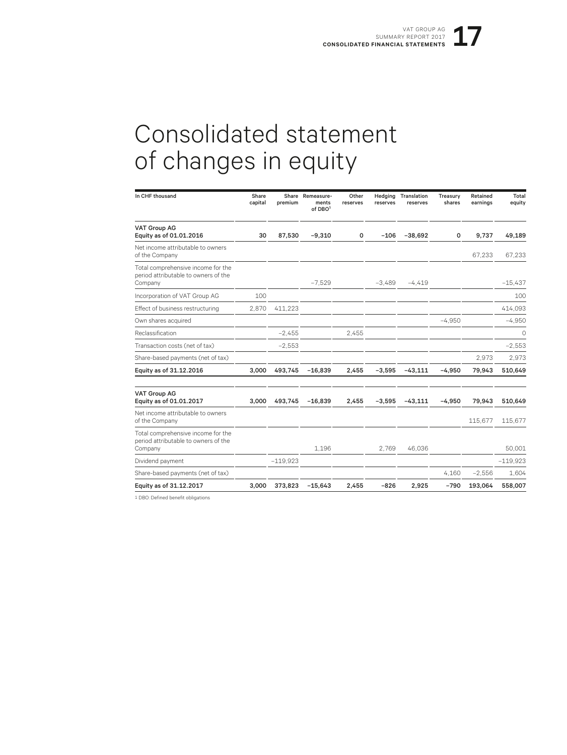# Consolidated statement of changes in equity

| In CHF thousand                                                                       | Share<br>capital | premium    | Share Remeasure-<br>ments<br>of DBO <sup>1</sup> | Other<br>reserves | Hedging<br>reserves | Translation<br>reserves | Treasury<br>shares | Retained<br>earnings | Total<br>equity |
|---------------------------------------------------------------------------------------|------------------|------------|--------------------------------------------------|-------------------|---------------------|-------------------------|--------------------|----------------------|-----------------|
| <b>VAT Group AG</b><br>Equity as of 01.01.2016                                        | 30               | 87,530     | $-9,310$                                         | 0                 | $-106$              | $-38,692$               | 0                  | 9,737                | 49,189          |
| Net income attributable to owners<br>of the Company                                   |                  |            |                                                  |                   |                     |                         |                    | 67,233               | 67.233          |
| Total comprehensive income for the<br>period attributable to owners of the<br>Company |                  |            | $-7.529$                                         |                   | $-3.489$            | $-4.419$                |                    |                      | $-15.437$       |
| Incorporation of VAT Group AG                                                         | 100              |            |                                                  |                   |                     |                         |                    |                      | 100             |
| Effect of business restructuring                                                      | 2,870            | 411,223    |                                                  |                   |                     |                         |                    |                      | 414,093         |
| Own shares acquired                                                                   |                  |            |                                                  |                   |                     |                         | $-4,950$           |                      | $-4,950$        |
| Reclassification                                                                      |                  | $-2.455$   |                                                  | 2.455             |                     |                         |                    |                      | 0               |
| Transaction costs (net of tax)                                                        |                  | $-2,553$   |                                                  |                   |                     |                         |                    |                      | $-2,553$        |
| Share-based payments (net of tax)                                                     |                  |            |                                                  |                   |                     |                         |                    | 2.973                | 2,973           |
| Equity as of 31.12.2016                                                               | 3.000            | 493.745    | $-16.839$                                        | 2.455             | $-3.595$            | $-43.111$               | $-4.950$           | 79.943               | 510,649         |
| <b>VAT Group AG</b><br>Equity as of 01.01.2017                                        | 3.000            | 493,745    | $-16,839$                                        | 2,455             | $-3,595$            | $-43,111$               | $-4,950$           | 79,943               | 510,649         |
| Net income attributable to owners<br>of the Company                                   |                  |            |                                                  |                   |                     |                         |                    | 115,677              | 115,677         |
| Total comprehensive income for the<br>period attributable to owners of the<br>Company |                  |            | 1,196                                            |                   | 2.769               | 46,036                  |                    |                      | 50,001          |
| Dividend payment                                                                      |                  | $-119.923$ |                                                  |                   |                     |                         |                    |                      | $-119,923$      |
| Share-based payments (net of tax)                                                     |                  |            |                                                  |                   |                     |                         | 4,160              | $-2,556$             | 1,604           |
| Equity as of 31.12.2017                                                               | 3,000            | 373,823    | $-15,643$                                        | 2,455             | $-826$              | 2,925                   | $-790$             | 193,064              | 558,007         |

1 DBO: Defined benefit obligations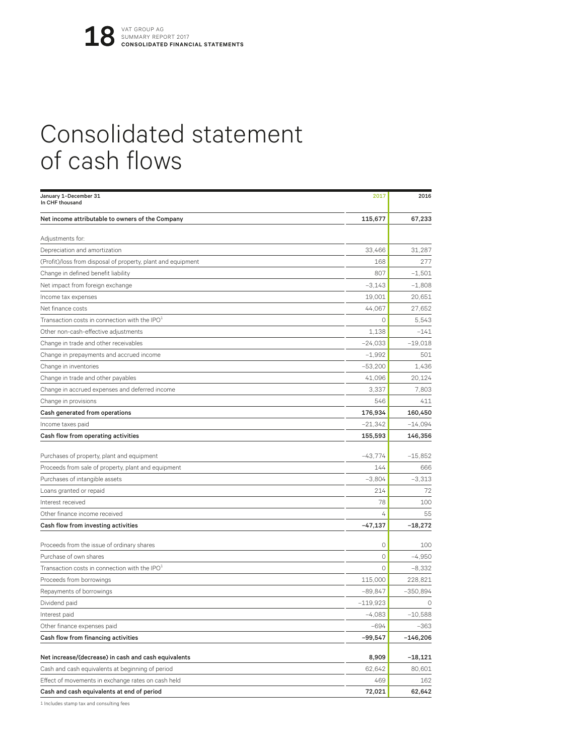# Consolidated statement of cash flows

| January 1-December 31<br>In CHF thousand                     | 2017       | 2016       |
|--------------------------------------------------------------|------------|------------|
| Net income attributable to owners of the Company             | 115,677    | 67,233     |
| Adjustments for:                                             |            |            |
| Depreciation and amortization                                | 33.466     | 31,287     |
| (Profit)/loss from disposal of property, plant and equipment | 168        | 277        |
| Change in defined benefit liability                          | 807        | $-1.501$   |
| Net impact from foreign exchange                             | $-3,143$   | $-1.808$   |
| Income tax expenses                                          | 19,001     | 20,651     |
| Net finance costs                                            | 44,067     | 27,652     |
| Transaction costs in connection with the IPO <sup>1</sup>    | $\circ$    | 5.543      |
| Other non-cash-effective adjustments                         | 1,138      | $-141$     |
| Change in trade and other receivables                        | $-24,033$  | $-19,018$  |
| Change in prepayments and accrued income                     | $-1,992$   | 501        |
| Change in inventories                                        | $-53,200$  | 1,436      |
| Change in trade and other payables                           | 41,096     | 20,124     |
| Change in accrued expenses and deferred income               | 3,337      | 7.803      |
| Change in provisions                                         | 546        | 411        |
| Cash generated from operations                               | 176,934    | 160,450    |
| Income taxes paid                                            | $-21,342$  | $-14,094$  |
| Cash flow from operating activities                          | 155,593    | 146,356    |
|                                                              |            |            |
| Purchases of property, plant and equipment                   | $-43,774$  | $-15,852$  |
| Proceeds from sale of property, plant and equipment          | 144        | 666        |
| Purchases of intangible assets                               | $-3,804$   | $-3.313$   |
| Loans granted or repaid                                      | 214        | 72         |
| Interest received                                            | 78         | 100        |
| Other finance income received                                | 4          | 55         |
| Cash flow from investing activities                          | $-47,137$  | $-18,272$  |
| Proceeds from the issue of ordinary shares                   | 0          | 100        |
| Purchase of own shares                                       | $\circ$    | $-4,950$   |
| Transaction costs in connection with the IPO $^1$            | $\circ$    | $-8,332$   |
| Proceeds from borrowings                                     | 115,000    | 228,821    |
| Repayments of borrowings                                     | $-89.847$  | $-350,894$ |
| Dividend paid                                                | $-119,923$ | $\circ$    |
| Interest paid                                                | $-4,083$   | $-10,588$  |
| Other finance expenses paid                                  | $-694$     | $-363$     |
| Cash flow from financing activities                          | $-99,547$  | $-146,206$ |
| Net increase/(decrease) in cash and cash equivalents         | 8,909      | $-18,121$  |
| Cash and cash equivalents at beginning of period             | 62,642     | 80,601     |
| Effect of movements in exchange rates on cash held           | 469        | 162        |
| Cash and cash equivalents at end of period                   | 72,021     | 62,642     |
|                                                              |            |            |

1 Includes stamp tax and consulting fees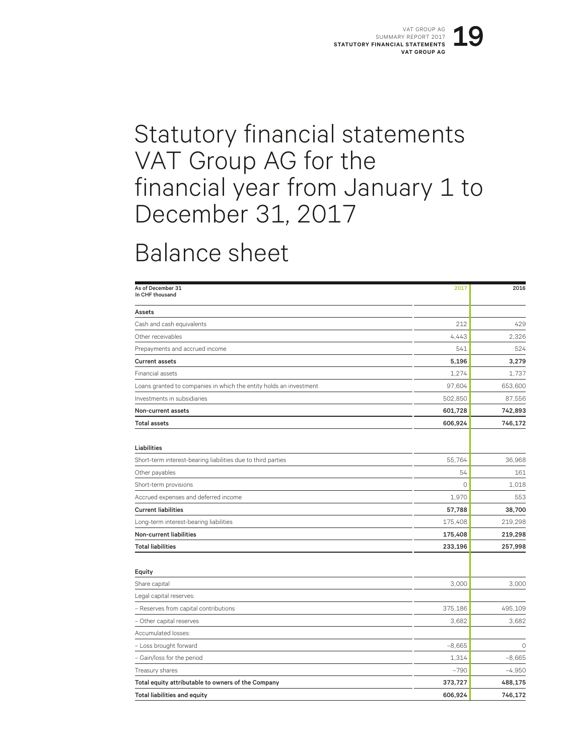## Statutory financial statements VAT Group AG for the financial year from January 1 to December 31, 2017

## Balance sheet

| As of December 31<br>In CHF thousand                               | 2017     | 2016     |
|--------------------------------------------------------------------|----------|----------|
| Assets                                                             |          |          |
| Cash and cash equivalents                                          | 212      | 429      |
| Other receivables                                                  | 4,443    | 2.326    |
| Prepayments and accrued income                                     | 541      | 524      |
| <b>Current assets</b>                                              | 5,196    | 3,279    |
| Financial assets                                                   | 1.274    | 1.737    |
| Loans granted to companies in which the entity holds an investment | 97,604   | 653,600  |
| Investments in subsidiaries                                        | 502,850  | 87,556   |
| Non-current assets                                                 | 601,728  | 742,893  |
| <b>Total assets</b>                                                | 606,924  | 746,172  |
| Liabilities                                                        |          |          |
| Short-term interest-bearing liabilities due to third parties       | 55,764   | 36,968   |
| Other payables                                                     | 54       | 161      |
| Short-term provisions                                              | $\circ$  | 1,018    |
| Accrued expenses and deferred income                               | 1,970    | 553      |
| <b>Current liabilities</b>                                         | 57,788   | 38,700   |
| Long-term interest-bearing liabilities                             | 175,408  | 219,298  |
| Non-current liabilities                                            | 175,408  | 219,298  |
| <b>Total liabilities</b>                                           | 233,196  | 257,998  |
| Equity                                                             |          |          |
| Share capital                                                      | 3,000    | 3,000    |
| Legal capital reserves:                                            |          |          |
| - Reserves from capital contributions                              | 375,186  | 495,109  |
| - Other capital reserves                                           | 3,682    | 3.682    |
| Accumulated losses:                                                |          |          |
| - Loss brought forward                                             | $-8,665$ | $\circ$  |
| - Gain/loss for the period                                         | 1,314    | $-8,665$ |
| Treasury shares                                                    | $-790$   | $-4,950$ |
| Total equity attributable to owners of the Company                 | 373,727  | 488,175  |
| <b>Total liabilities and equity</b>                                | 606,924  | 746,172  |
|                                                                    |          |          |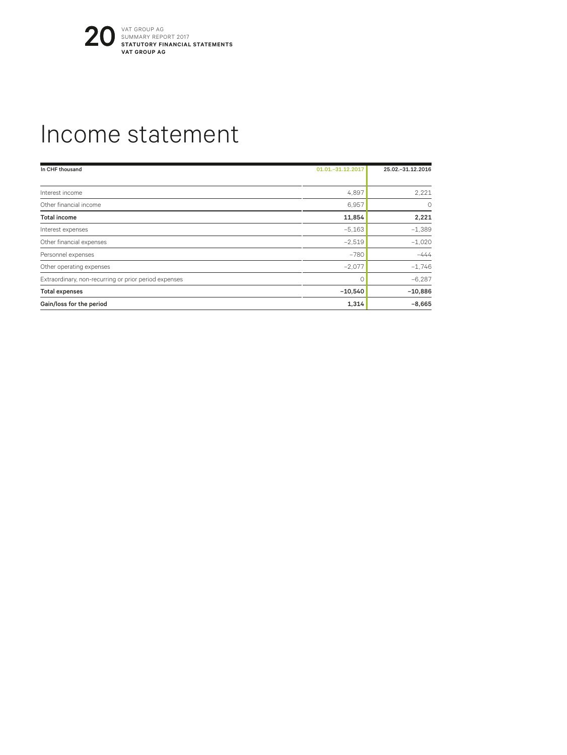

## Income statement

| In CHF thousand                                       | 01.01. - 31.12.2017 | 25.02. - 31.12.2016 |
|-------------------------------------------------------|---------------------|---------------------|
|                                                       |                     |                     |
| Interest income                                       | 4,897               | 2,221               |
| Other financial income                                | 6,957               | $\Omega$            |
| <b>Total income</b>                                   | 11,854              | 2,221               |
| Interest expenses                                     | $-5,163$            | $-1,389$            |
| Other financial expenses                              | $-2,519$            | $-1,020$            |
| Personnel expenses                                    | $-780$              | $-444$              |
| Other operating expenses                              | $-2,077$            | $-1.746$            |
| Extraordinary, non-recurring or prior period expenses |                     | $-6.287$            |
| <b>Total expenses</b>                                 | $-10,540$           | $-10,886$           |
| Gain/loss for the period                              | 1,314               | $-8,665$            |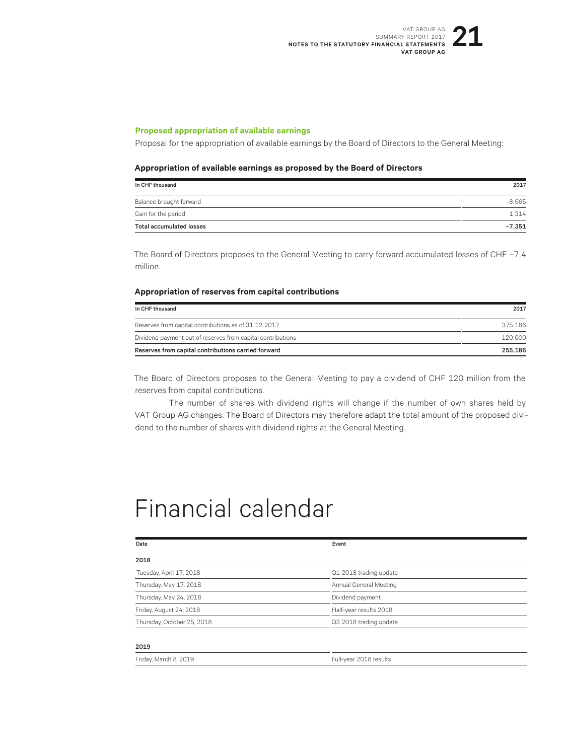#### **Proposed appropriation of available earnings**

Proposal for the appropriation of available earnings by the Board of Directors to the General Meeting:

#### **Appropriation of available earnings as proposed by the Board of Directors**

| In CHF thousand                 | 2017     |
|---------------------------------|----------|
| Balance brought forward         | $-8.665$ |
| Gain for the period             | 1.314    |
| <b>Total accumulated losses</b> | $-7,351$ |

The Board of Directors proposes to the General Meeting to carry forward accumulated losses of CHF -7.4 million.

#### **Appropriation of reserves from capital contributions**

| In CHF thousand                                             | 2017       |
|-------------------------------------------------------------|------------|
| Reserves from capital contributions as of 31.12.2017        | 375.186    |
| Dividend payment out of reserves from capital contributions | $-120.000$ |
| Reserves from capital contributions carried forward         | 255.186    |

The Board of Directors proposes to the General Meeting to pay a dividend of CHF 120 million from the reserves from capital contributions.

The number of shares with dividend rights will change if the number of own shares held by VAT Group AG changes. The Board of Directors may therefore adapt the total amount of the proposed dividend to the number of shares with dividend rights at the General Meeting.

## Financial calendar

Friday, March 8, 2019 **Full-year 2018** results

| Date                       | Event                  |  |
|----------------------------|------------------------|--|
| 2018                       |                        |  |
| Tuesday, April 17, 2018    | Q1 2018 trading update |  |
| Thursday, May 17, 2018     | Annual General Meeting |  |
| Thursday, May 24, 2018     | Dividend payment       |  |
| Friday, August 24, 2018    | Half-year results 2018 |  |
| Thursday, October 25, 2018 | Q3 2018 trading update |  |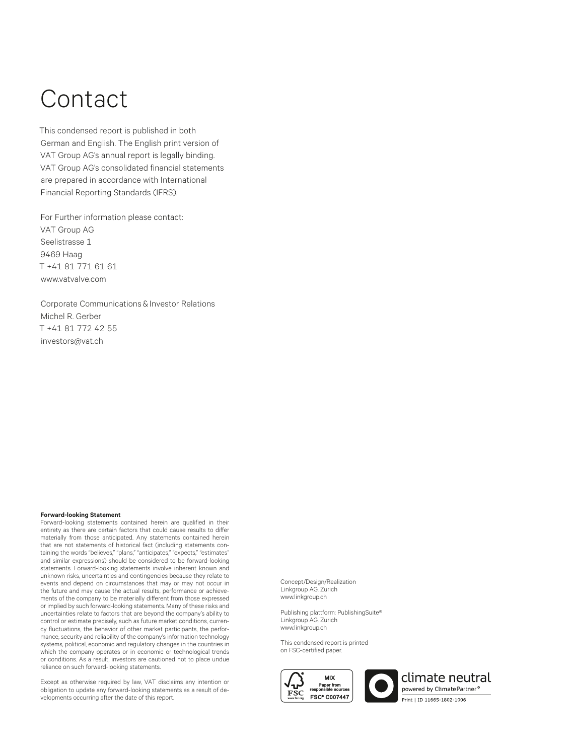# Contact

This condensed report is published in both German and English. The English print version of VAT Group AG's annual report is legally binding. VAT Group AG's consolidated financial statements are prepared in accordance with International Financial Reporting Standards (IFRS).

For Further information please contact: VAT Group AG Seelistrasse 1 9469 Haag T +41 81 771 61 61 www.vatvalve.com

Corporate Communications & Investor Relations Michel R. Gerber T +41 81 772 42 55 investors@vat.ch

#### **Forward-looking Statement**

Forward-looking statements contained herein are qualified in their entirety as there are certain factors that could cause results to differ materially from those anticipated. Any statements contained herein that are not statements of historical fact (including statements containing the words "believes," "plans," "anticipates," "expects," "estimates" and similar expressions) should be considered to be forward-looking statements. Forward-looking statements involve inherent known and unknown risks, uncertainties and contingencies because they relate to events and depend on circumstances that may or may not occur in the future and may cause the actual results, performance or achievements of the company to be materially different from those expressed or implied by such forward-looking statements. Many of these risks and uncertainties relate to factors that are beyond the company's ability to control or estimate precisely, such as future market conditions, currency fluctuations, the behavior of other market participants, the performance, security and reliability of the company's information technology systems, political, economic and regulatory changes in the countries in which the company operates or in economic or technological trends or conditions. As a result, investors are cautioned not to place undue reliance on such forward-looking statements.

Except as otherwise required by law, VAT disclaims any intention or obligation to update any forward-looking statements as a result of developments occurring after the date of this report.

Concept/Design/Realization Linkgroup AG, Zurich www.linkgroup.ch

Publishing plattform: PublishingSuite® Linkgroup AG, Zurich www.linkgroup.ch

This condensed report is printed on FSC-certified paper.



climate neutral owered by ClimatePartner<sup>o</sup> Print | ID 11665-1802-1006